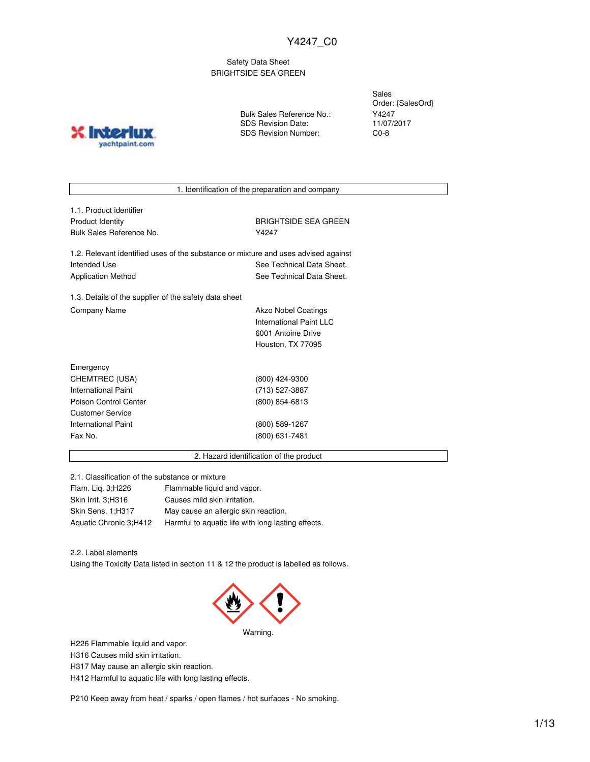Safety Data Sheet BRIGHTSIDE SEA GREEN

**X** Inter yachtpaint.com Bulk Sales Reference No.: SDS Revision Date: SDS Revision Number:

Sales Order: {SalesOrd} Y4247 11/07/2017 C0-8

1. Identification of the preparation and company

| 1.1. Product identifier  |
|--------------------------|
| <b>Product Identity</b>  |
| Bulk Sales Reference No. |
|                          |

**BRIGHTSIDE SEA GREEN** Y4247

1.2. Relevant identified uses of the substance or mixture and uses advised against Intended Use **See Technical Data Sheet.** See Technical Data Sheet. Application Method See Technical Data Sheet.

1.3. Details of the supplier of the safety data sheet Company Name **Akzo Nobel Coatings** 

International Paint LLC 6001 Antoine Drive Houston, TX 77095

| Emergency                  |                |
|----------------------------|----------------|
| CHEMTREC (USA)             | (800) 424-9300 |
| <b>International Paint</b> | (713) 527-3887 |
| Poison Control Center      | (800) 854-6813 |
| <b>Customer Service</b>    |                |
| <b>International Paint</b> | (800) 589-1267 |
| Fax No.                    | (800) 631-7481 |
|                            |                |

2. Hazard identification of the product

2.1. Classification of the substance or mixture

| Flam. Lig. 3; H226     | Flammable liquid and vapor.                        |
|------------------------|----------------------------------------------------|
| Skin Irrit. 3;H316     | Causes mild skin irritation.                       |
| Skin Sens. 1:H317      | May cause an allergic skin reaction.               |
| Aquatic Chronic 3;H412 | Harmful to aquatic life with long lasting effects. |

2.2. Label elements

Using the Toxicity Data listed in section 11 & 12 the product is labelled as follows.



H226 Flammable liquid and vapor.

H316 Causes mild skin irritation.

H317 May cause an allergic skin reaction.

H412 Harmful to aquatic life with long lasting effects.

P210 Keep away from heat / sparks / open flames / hot surfaces - No smoking.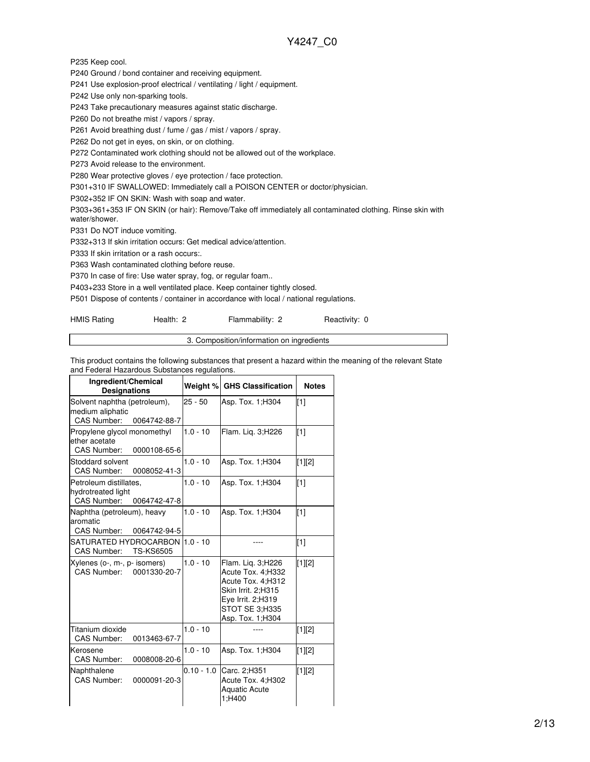P235 Keep cool.

P240 Ground / bond container and receiving equipment.

P241 Use explosion-proof electrical / ventilating / light / equipment.

P242 Use only non-sparking tools.

P243 Take precautionary measures against static discharge.

P260 Do not breathe mist / vapors / spray.

P261 Avoid breathing dust / fume / gas / mist / vapors / spray.

P262 Do not get in eyes, on skin, or on clothing.

P272 Contaminated work clothing should not be allowed out of the workplace.

P273 Avoid release to the environment.

P280 Wear protective gloves / eye protection / face protection.

P301+310 IF SWALLOWED: Immediately call a POISON CENTER or doctor/physician.

P302+352 IF ON SKIN: Wash with soap and water.

P303+361+353 IF ON SKIN (or hair): Remove/Take off immediately all contaminated clothing. Rinse skin with water/shower.

P331 Do NOT induce vomiting.

P332+313 If skin irritation occurs: Get medical advice/attention.

P333 If skin irritation or a rash occurs:.

P363 Wash contaminated clothing before reuse.

P370 In case of fire: Use water spray, fog, or regular foam..

P403+233 Store in a well ventilated place. Keep container tightly closed.

P501 Dispose of contents / container in accordance with local / national regulations.

| HMIS Rating | Health: 2                                 | Flammability: 2 | Reactivity: 0 |  |
|-------------|-------------------------------------------|-----------------|---------------|--|
|             | 3. Composition/information on ingredients |                 |               |  |

This product contains the following substances that present a hazard within the meaning of the relevant State and Federal Hazardous Substances regulations.

| Ingredient/Chemical<br><b>Designations</b>                                         | Weight %     | <b>GHS Classification</b>                                                                                                                     | <b>Notes</b> |
|------------------------------------------------------------------------------------|--------------|-----------------------------------------------------------------------------------------------------------------------------------------------|--------------|
| Solvent naphtha (petroleum),<br>medium aliphatic<br>CAS Number:<br>0064742-88-7    | $25 - 50$    | Asp. Tox. 1; H304                                                                                                                             | $\sqrt{11}$  |
| Propylene glycol monomethyl<br>ether acetate<br><b>CAS Number:</b><br>0000108-65-6 | $1.0 - 10$   | Flam. Lig. 3;H226                                                                                                                             | $\sqrt{11}$  |
| Stoddard solvent<br>CAS Number:<br>0008052-41-3                                    | $1.0 - 10$   | Asp. Tox. 1; H304                                                                                                                             | [1][2]       |
| Petroleum distillates,<br>hydrotreated light<br>CAS Number:<br>0064742-47-8        | $1.0 - 10$   | Asp. Tox. 1; H304                                                                                                                             | $\sqrt{11}$  |
| Naphtha (petroleum), heavy<br>aromatic<br>CAS Number:<br>0064742-94-5              | $1.0 - 10$   | Asp. Tox. 1;H304                                                                                                                              | $\sqrt{11}$  |
| SATURATED HYDROCARBON<br>CAS Number:<br><b>TS-KS6505</b>                           | $1.0 - 10$   |                                                                                                                                               | $\sqrt{11}$  |
| Xylenes (o-, m-, p- isomers)<br>CAS Number: 0001330-20-7                           | $1.0 - 10$   | Flam. Lig. 3;H226<br>Acute Tox. 4;H332<br>Acute Tox. 4;H312<br>Skin Irrit. 2:H315<br>Eye Irrit. 2;H319<br>STOT SE 3:H335<br>Asp. Tox. 1; H304 | $[1][2]$     |
| Titanium dioxide<br><b>CAS Number:</b><br>0013463-67-7                             | $1.0 - 10$   |                                                                                                                                               | [1][2]       |
| Kerosene<br><b>CAS Number:</b><br>0008008-20-6                                     | $1.0 - 10$   | Asp. Tox. 1; H304                                                                                                                             | [1][2]       |
| Naphthalene<br><b>CAS Number:</b><br>0000091-20-3                                  | $0.10 - 1.0$ | Carc. 2;H351<br>Acute Tox. 4;H302<br><b>Aquatic Acute</b><br>1;H400                                                                           | [1][2]       |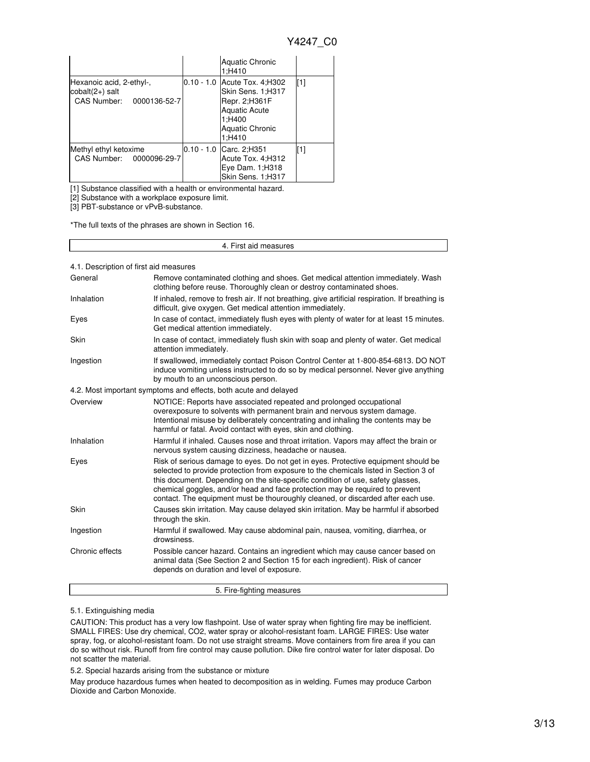|                                                                                            | <b>Aquatic Chronic</b><br>1;H410                                                                                                          |     |
|--------------------------------------------------------------------------------------------|-------------------------------------------------------------------------------------------------------------------------------------------|-----|
| Hexanoic acid, 2-ethyl-,<br>$\text{cobalt}(2+)$ salt<br><b>CAS Number:</b><br>0000136-52-7 | 0.10 - 1.0 Acute Tox. 4; H302<br>Skin Sens. 1;H317<br>Repr. 2;H361F<br><b>Aquatic Acute</b><br>1:H400<br><b>Aquatic Chronic</b><br>1;H410 | [1] |
| Methyl ethyl ketoxime<br>CAS Number:<br>0000096-29-7                                       | 0.10 - 1.0 Carc. 2; H351<br>Acute Tox. 4; H312<br>Eye Dam. 1; H318<br>Skin Sens. 1;H317                                                   | [1] |

[1] Substance classified with a health or environmental hazard.

[2] Substance with a workplace exposure limit.

[3] PBT-substance or vPvB-substance.

\*The full texts of the phrases are shown in Section 16.

#### 4. First aid measures

4.1. Description of first aid measures

| General         | Remove contaminated clothing and shoes. Get medical attention immediately. Wash<br>clothing before reuse. Thoroughly clean or destroy contaminated shoes.                                                                                                                                                                                                                                                                         |  |  |
|-----------------|-----------------------------------------------------------------------------------------------------------------------------------------------------------------------------------------------------------------------------------------------------------------------------------------------------------------------------------------------------------------------------------------------------------------------------------|--|--|
| Inhalation      | If inhaled, remove to fresh air. If not breathing, give artificial respiration. If breathing is<br>difficult, give oxygen. Get medical attention immediately.                                                                                                                                                                                                                                                                     |  |  |
| Eyes            | In case of contact, immediately flush eyes with plenty of water for at least 15 minutes.<br>Get medical attention immediately.                                                                                                                                                                                                                                                                                                    |  |  |
| Skin            | In case of contact, immediately flush skin with soap and plenty of water. Get medical<br>attention immediately.                                                                                                                                                                                                                                                                                                                   |  |  |
| Ingestion       | If swallowed, immediately contact Poison Control Center at 1-800-854-6813. DO NOT<br>induce vomiting unless instructed to do so by medical personnel. Never give anything<br>by mouth to an unconscious person.                                                                                                                                                                                                                   |  |  |
|                 | 4.2. Most important symptoms and effects, both acute and delayed                                                                                                                                                                                                                                                                                                                                                                  |  |  |
| Overview        | NOTICE: Reports have associated repeated and prolonged occupational<br>overexposure to solvents with permanent brain and nervous system damage.<br>Intentional misuse by deliberately concentrating and inhaling the contents may be<br>harmful or fatal. Avoid contact with eyes, skin and clothing.                                                                                                                             |  |  |
| Inhalation      | Harmful if inhaled. Causes nose and throat irritation. Vapors may affect the brain or<br>nervous system causing dizziness, headache or nausea.                                                                                                                                                                                                                                                                                    |  |  |
| Eyes            | Risk of serious damage to eyes. Do not get in eyes. Protective equipment should be<br>selected to provide protection from exposure to the chemicals listed in Section 3 of<br>this document. Depending on the site-specific condition of use, safety glasses,<br>chemical goggles, and/or head and face protection may be required to prevent<br>contact. The equipment must be thouroughly cleaned, or discarded after each use. |  |  |
| Skin            | Causes skin irritation. May cause delayed skin irritation. May be harmful if absorbed<br>through the skin.                                                                                                                                                                                                                                                                                                                        |  |  |
| Ingestion       | Harmful if swallowed. May cause abdominal pain, nausea, vomiting, diarrhea, or<br>drowsiness.                                                                                                                                                                                                                                                                                                                                     |  |  |
| Chronic effects | Possible cancer hazard. Contains an ingredient which may cause cancer based on<br>animal data (See Section 2 and Section 15 for each ingredient). Risk of cancer<br>depends on duration and level of exposure.                                                                                                                                                                                                                    |  |  |

#### 5. Fire-fighting measures

5.1. Extinguishing media

CAUTION: This product has a very low flashpoint. Use of water spray when fighting fire may be inefficient. SMALL FIRES: Use dry chemical, CO2, water spray or alcohol-resistant foam. LARGE FIRES: Use water spray, fog, or alcohol-resistant foam. Do not use straight streams. Move containers from fire area if you can do so without risk. Runoff from fire control may cause pollution. Dike fire control water for later disposal. Do not scatter the material.

5.2. Special hazards arising from the substance or mixture

May produce hazardous fumes when heated to decomposition as in welding. Fumes may produce Carbon Dioxide and Carbon Monoxide.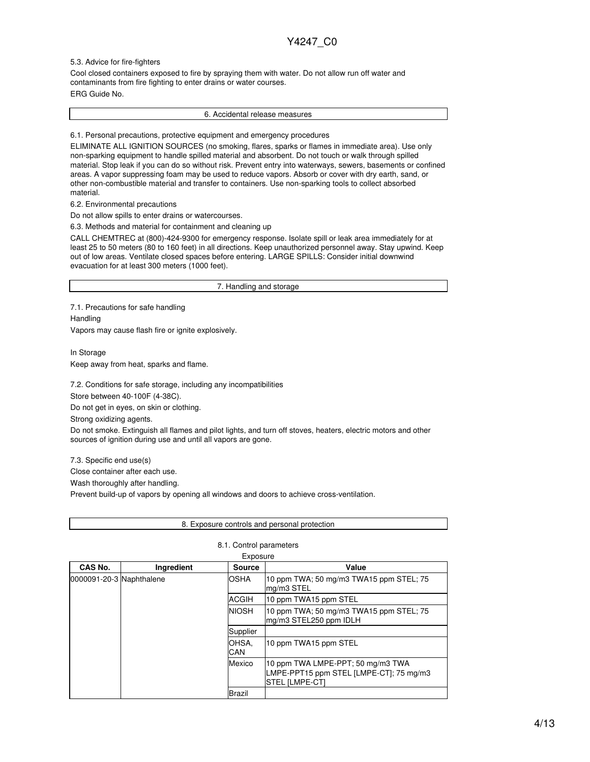#### 5.3. Advice for fire-fighters

Cool closed containers exposed to fire by spraying them with water. Do not allow run off water and contaminants from fire fighting to enter drains or water courses. ERG Guide No.

6. Accidental release measures

6.1. Personal precautions, protective equipment and emergency procedures

ELIMINATE ALL IGNITION SOURCES (no smoking, flares, sparks or flames in immediate area). Use only non-sparking equipment to handle spilled material and absorbent. Do not touch or walk through spilled material. Stop leak if you can do so without risk. Prevent entry into waterways, sewers, basements or confined areas. A vapor suppressing foam may be used to reduce vapors. Absorb or cover with dry earth, sand, or other non-combustible material and transfer to containers. Use non-sparking tools to collect absorbed material.

6.2. Environmental precautions

Do not allow spills to enter drains or watercourses.

6.3. Methods and material for containment and cleaning up

CALL CHEMTREC at (800)-424-9300 for emergency response. Isolate spill or leak area immediately for at least 25 to 50 meters (80 to 160 feet) in all directions. Keep unauthorized personnel away. Stay upwind. Keep out of low areas. Ventilate closed spaces before entering. LARGE SPILLS: Consider initial downwind evacuation for at least 300 meters (1000 feet).

7. Handling and storage

7.1. Precautions for safe handling **Handling** 

Vapors may cause flash fire or ignite explosively.

In Storage Keep away from heat, sparks and flame.

7.2. Conditions for safe storage, including any incompatibilities

Store between 40-100F (4-38C).

Do not get in eyes, on skin or clothing.

Strong oxidizing agents.

Do not smoke. Extinguish all flames and pilot lights, and turn off stoves, heaters, electric motors and other sources of ignition during use and until all vapors are gone.

7.3. Specific end use(s)

Close container after each use.

Wash thoroughly after handling.

Prevent build-up of vapors by opening all windows and doors to achieve cross-ventilation.

| 8. Exposure controls and personal protection |  |
|----------------------------------------------|--|
|----------------------------------------------|--|

#### 8.1. Control parameters

| CAS No.                  | <b>Ingredient</b> | <b>Source</b> | Value                                                                                                 |
|--------------------------|-------------------|---------------|-------------------------------------------------------------------------------------------------------|
| 0000091-20-3 Naphthalene |                   | <b>OSHA</b>   | 10 ppm TWA; 50 mg/m3 TWA15 ppm STEL; 75<br>mg/m3 STEL                                                 |
|                          |                   | ACGIH         | 10 ppm TWA15 ppm STEL                                                                                 |
|                          |                   | <b>NIOSH</b>  | 10 ppm TWA; 50 mg/m3 TWA15 ppm STEL; 75<br>mg/m3 STEL250 ppm IDLH                                     |
|                          |                   | Supplier      |                                                                                                       |
|                          |                   | OHSA,<br>CAN  | 10 ppm TWA15 ppm STEL                                                                                 |
|                          |                   | Mexico        | 10 ppm TWA LMPE-PPT; 50 mg/m3 TWA<br>LMPE-PPT15 ppm STEL [LMPE-CT]; 75 mg/m3<br><b>STEL [LMPE-CT]</b> |
|                          |                   | Brazil        |                                                                                                       |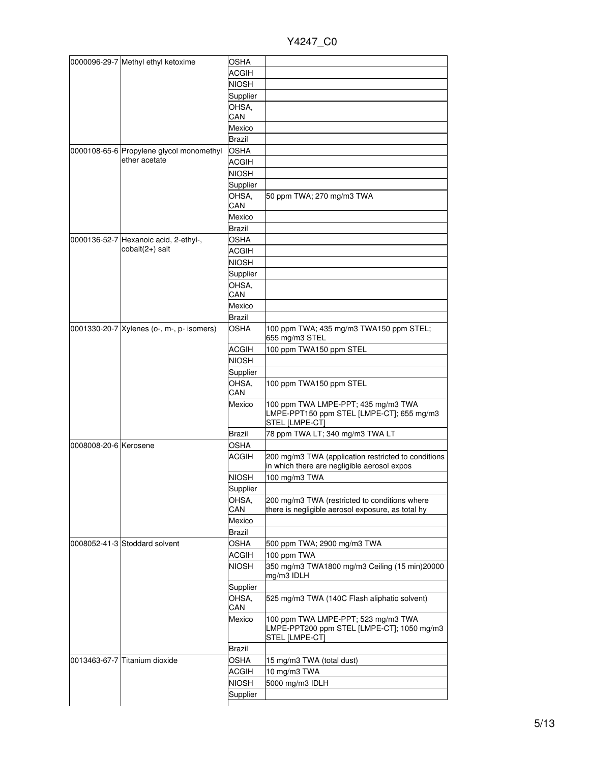Y4247\_C0

|                       | 0000096-29-7 Methyl ethyl ketoxime        | <b>OSHA</b>  |                                                                                                     |
|-----------------------|-------------------------------------------|--------------|-----------------------------------------------------------------------------------------------------|
|                       |                                           | <b>ACGIH</b> |                                                                                                     |
|                       |                                           | <b>NIOSH</b> |                                                                                                     |
|                       |                                           | Supplier     |                                                                                                     |
|                       |                                           | OHSA,        |                                                                                                     |
|                       |                                           | CAN          |                                                                                                     |
|                       |                                           | Mexico       |                                                                                                     |
|                       |                                           | Brazil       |                                                                                                     |
|                       | 0000108-65-6 Propylene glycol monomethyl  | <b>OSHA</b>  |                                                                                                     |
|                       | ether acetate                             | <b>ACGIH</b> |                                                                                                     |
|                       |                                           | <b>NIOSH</b> |                                                                                                     |
|                       |                                           | Supplier     |                                                                                                     |
|                       |                                           | OHSA.        | 50 ppm TWA; 270 mg/m3 TWA                                                                           |
|                       |                                           | CAN          |                                                                                                     |
|                       |                                           | Mexico       |                                                                                                     |
|                       |                                           | Brazil       |                                                                                                     |
|                       | 0000136-52-7 Hexanoic acid, 2-ethyl-,     | <b>OSHA</b>  |                                                                                                     |
|                       | cobalt(2+) salt                           | <b>ACGIH</b> |                                                                                                     |
|                       |                                           | <b>NIOSH</b> |                                                                                                     |
|                       |                                           | Supplier     |                                                                                                     |
|                       |                                           | OHSA,        |                                                                                                     |
|                       |                                           | CAN          |                                                                                                     |
|                       |                                           | Mexico       |                                                                                                     |
|                       |                                           | Brazil       |                                                                                                     |
|                       | 0001330-20-7 Xylenes (o-, m-, p- isomers) | <b>OSHA</b>  | 100 ppm TWA; 435 mg/m3 TWA150 ppm STEL;<br>655 mg/m3 STEL                                           |
|                       |                                           | <b>ACGIH</b> | 100 ppm TWA150 ppm STEL                                                                             |
|                       |                                           | <b>NIOSH</b> |                                                                                                     |
|                       |                                           | Supplier     |                                                                                                     |
|                       |                                           | OHSA,<br>CAN | 100 ppm TWA150 ppm STEL                                                                             |
|                       |                                           | Mexico       | 100 ppm TWA LMPE-PPT; 435 mg/m3 TWA<br>LMPE-PPT150 ppm STEL [LMPE-CT]; 655 mg/m3<br>STEL [LMPE-CT]  |
|                       |                                           | Brazil       | 78 ppm TWA LT; 340 mg/m3 TWA LT                                                                     |
| 0008008-20-6 Kerosene |                                           | OSHA         |                                                                                                     |
|                       |                                           | <b>ACGIH</b> | 200 mg/m3 TWA (application restricted to conditions<br>in which there are negligible aerosol expos  |
|                       |                                           | <b>NIOSH</b> | 100 mg/m3 TWA                                                                                       |
|                       |                                           | Supplier     |                                                                                                     |
|                       |                                           | OHSA.        | 200 mg/m3 TWA (restricted to conditions where                                                       |
|                       |                                           | CAN          | there is negligible aerosol exposure, as total hy                                                   |
|                       |                                           | Mexico       |                                                                                                     |
|                       |                                           | Brazil       |                                                                                                     |
|                       | 0008052-41-3 Stoddard solvent             | OSHA         | 500 ppm TWA; 2900 mg/m3 TWA                                                                         |
|                       |                                           | <b>ACGIH</b> | 100 ppm TWA                                                                                         |
|                       |                                           | <b>NIOSH</b> | 350 mg/m3 TWA1800 mg/m3 Ceiling (15 min)20000<br>mg/m3 IDLH                                         |
|                       |                                           | Supplier     |                                                                                                     |
|                       |                                           | OHSA,        | 525 mg/m3 TWA (140C Flash aliphatic solvent)                                                        |
|                       |                                           | CAN          |                                                                                                     |
|                       |                                           | Mexico       | 100 ppm TWA LMPE-PPT; 523 mg/m3 TWA<br>LMPE-PPT200 ppm STEL [LMPE-CT]; 1050 mg/m3<br>STEL [LMPE-CT] |
|                       |                                           | Brazil       |                                                                                                     |
|                       | 0013463-67-7 Titanium dioxide             | OSHA         | 15 mg/m3 TWA (total dust)                                                                           |
|                       |                                           | <b>ACGIH</b> | 10 mg/m3 TWA                                                                                        |
|                       |                                           | <b>NIOSH</b> | 5000 mg/m3 IDLH                                                                                     |
|                       |                                           | Supplier     |                                                                                                     |
|                       |                                           |              |                                                                                                     |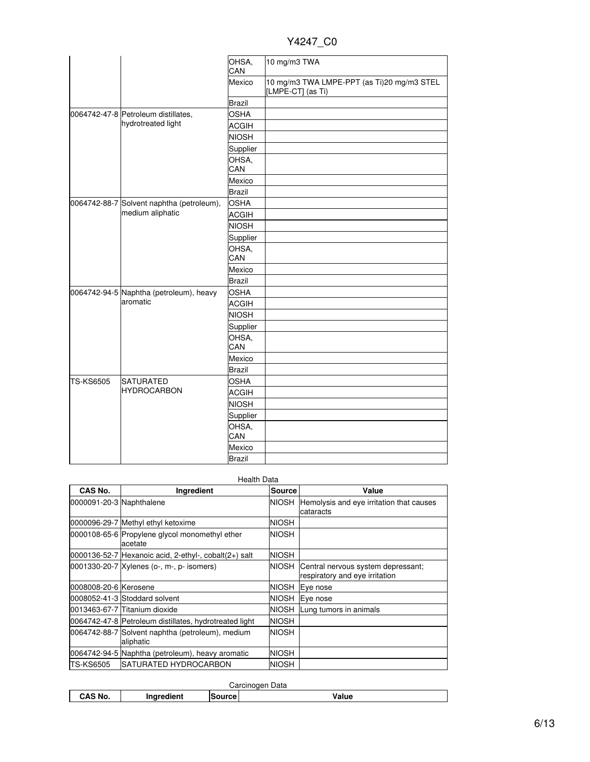| Y4247 | C0 |
|-------|----|
|       |    |

|                  |                                           | OHSA,<br>CAN  | 10 mg/m3 TWA                                                    |
|------------------|-------------------------------------------|---------------|-----------------------------------------------------------------|
|                  |                                           | Mexico        | 10 mg/m3 TWA LMPE-PPT (as Ti)20 mg/m3 STEL<br>[LMPE-CT] (as Ti) |
|                  |                                           | <b>Brazil</b> |                                                                 |
|                  | 0064742-47-8 Petroleum distillates,       | <b>OSHA</b>   |                                                                 |
|                  | hydrotreated light                        | <b>ACGIH</b>  |                                                                 |
|                  |                                           | <b>NIOSH</b>  |                                                                 |
|                  |                                           | Supplier      |                                                                 |
|                  |                                           | OHSA,         |                                                                 |
|                  |                                           | CAN           |                                                                 |
|                  |                                           | Mexico        |                                                                 |
|                  |                                           | <b>Brazil</b> |                                                                 |
|                  | 0064742-88-7 Solvent naphtha (petroleum), | <b>OSHA</b>   |                                                                 |
|                  | medium aliphatic                          | <b>ACGIH</b>  |                                                                 |
|                  |                                           | <b>NIOSH</b>  |                                                                 |
|                  |                                           | Supplier      |                                                                 |
|                  |                                           | OHSA,<br>CAN  |                                                                 |
|                  |                                           | Mexico        |                                                                 |
|                  |                                           | <b>Brazil</b> |                                                                 |
|                  | 0064742-94-5 Naphtha (petroleum), heavy   | <b>OSHA</b>   |                                                                 |
|                  | aromatic                                  | <b>ACGIH</b>  |                                                                 |
|                  |                                           | <b>NIOSH</b>  |                                                                 |
|                  |                                           | Supplier      |                                                                 |
|                  |                                           | OHSA,<br>CAN  |                                                                 |
|                  |                                           | Mexico        |                                                                 |
|                  |                                           | <b>Brazil</b> |                                                                 |
| <b>TS-KS6505</b> | <b>SATURATED</b>                          | <b>OSHA</b>   |                                                                 |
|                  | <b>HYDROCARBON</b>                        | <b>ACGIH</b>  |                                                                 |
|                  |                                           | <b>NIOSH</b>  |                                                                 |
|                  |                                           | Supplier      |                                                                 |
|                  |                                           | OHSA,         |                                                                 |
|                  |                                           | CAN           |                                                                 |
|                  |                                           | Mexico        |                                                                 |
|                  |                                           | <b>Brazil</b> |                                                                 |

| CAS No.                  | Ingredient                                                    | <b>Source</b> | Value                                                                |
|--------------------------|---------------------------------------------------------------|---------------|----------------------------------------------------------------------|
| 0000091-20-3 Naphthalene |                                                               | <b>NIOSH</b>  | Hemolysis and eye irritation that causes<br>cataracts                |
|                          | 0000096-29-7 Methyl ethyl ketoxime                            | <b>NIOSH</b>  |                                                                      |
|                          | 0000108-65-6 Propylene glycol monomethyl ether<br>acetate     | <b>NIOSH</b>  |                                                                      |
|                          | $ 0000136-52-7 $ Hexanoic acid, 2-ethyl-, cobalt $(2+)$ salt  | <b>NIOSH</b>  |                                                                      |
|                          | 0001330-20-7 Xylenes (o-, m-, p- isomers)                     | <b>NIOSH</b>  | Central nervous system depressant;<br>respiratory and eye irritation |
| 0008008-20-6 Kerosene    |                                                               | <b>NIOSH</b>  | Eye nose                                                             |
|                          | 0008052-41-3 Stoddard solvent                                 | <b>NIOSH</b>  | Eye nose                                                             |
|                          | 0013463-67-7 Titanium dioxide                                 | <b>NIOSH</b>  | Lung tumors in animals                                               |
|                          | 0064742-47-8 Petroleum distillates, hydrotreated light        | <b>NIOSH</b>  |                                                                      |
|                          | 0064742-88-7 Solvent naphtha (petroleum), medium<br>aliphatic | <b>NIOSH</b>  |                                                                      |
|                          | 0064742-94-5 Naphtha (petroleum), heavy aromatic              | <b>NIOSH</b>  |                                                                      |
| <b>TS-KS6505</b>         | <b>ISATURATED HYDROCARBON</b>                                 | <b>NIOSH</b>  |                                                                      |

| Data<br>P<br>-----<br>$\overline{\phantom{a}}$ |  |  |  |  |  |
|------------------------------------------------|--|--|--|--|--|
| ioni<br>.<br>'alue<br>'Nυ.                     |  |  |  |  |  |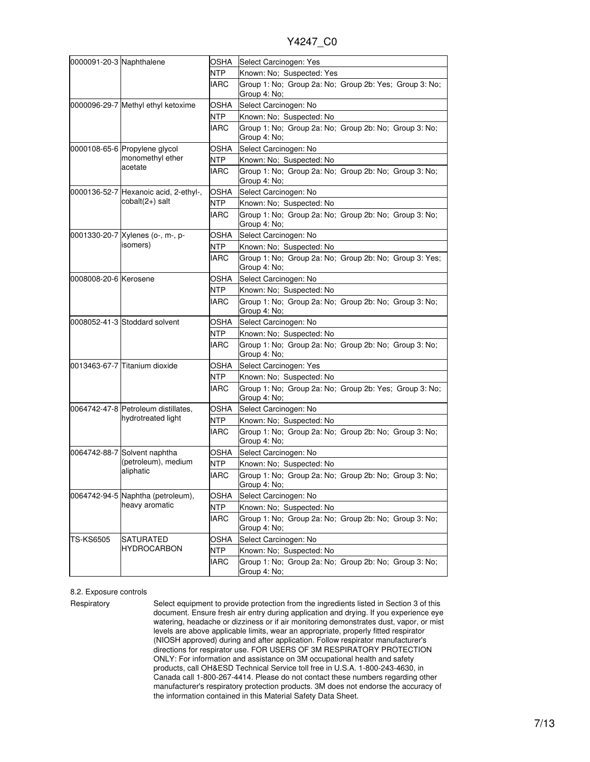Y4247\_C0

| 0000091-20-3 Naphthalene |                                                           | OSHA        | Select Carcinogen: Yes                                                 |
|--------------------------|-----------------------------------------------------------|-------------|------------------------------------------------------------------------|
|                          |                                                           | <b>NTP</b>  | Known: No; Suspected: Yes                                              |
|                          |                                                           | <b>IARC</b> | Group 1: No; Group 2a: No; Group 2b: Yes; Group 3: No;<br>Group 4: No: |
|                          | 0000096-29-7 Methyl ethyl ketoxime                        | OSHA        | Select Carcinogen: No                                                  |
|                          |                                                           | NTP         | Known: No; Suspected: No                                               |
|                          |                                                           | <b>IARC</b> | Group 1: No; Group 2a: No; Group 2b: No; Group 3: No;<br>Group 4: No;  |
|                          | 0000108-65-6 Propylene glycol                             | OSHA        | Select Carcinogen: No                                                  |
|                          | monomethyl ether                                          | NTP.        | Known: No; Suspected: No                                               |
|                          | acetate                                                   | IARC        | Group 1: No; Group 2a: No; Group 2b: No; Group 3: No;<br>Group 4: No;  |
|                          | 0000136-52-7 Hexanoic acid, 2-ethyl-,                     | OSHA        | Select Carcinogen: No                                                  |
|                          | cobalt(2+) salt                                           | <b>NTP</b>  | Known: No; Suspected: No                                               |
|                          |                                                           | IARC        | Group 1: No; Group 2a: No; Group 2b: No; Group 3: No;<br>Group 4: No;  |
|                          | 0001330-20-7 Xylenes (o-, m-, p-                          | OSHA        | Select Carcinogen: No                                                  |
|                          | isomers)                                                  | NTP         | Known: No; Suspected: No                                               |
|                          |                                                           | IARC        | Group 1: No; Group 2a: No; Group 2b: No; Group 3: Yes;<br>Group 4: No: |
| 0008008-20-6 Kerosene    |                                                           | OSHA        | Select Carcinogen: No                                                  |
|                          |                                                           | NTP.        | Known: No; Suspected: No                                               |
|                          |                                                           | IARC        | Group 1: No; Group 2a: No; Group 2b: No; Group 3: No;<br>Group 4: No;  |
|                          | 0008052-41-3 Stoddard solvent                             | OSHA        | Select Carcinogen: No                                                  |
|                          |                                                           | NTP         | Known: No; Suspected: No                                               |
|                          |                                                           | <b>IARC</b> | Group 1: No; Group 2a: No; Group 2b: No; Group 3: No;<br>Group 4: No;  |
|                          | 0013463-67-7 Titanium dioxide                             | OSHA        | Select Carcinogen: Yes                                                 |
|                          |                                                           | <b>NTP</b>  | Known: No; Suspected: No                                               |
|                          |                                                           | IARC        | Group 1: No; Group 2a: No; Group 2b: Yes; Group 3: No;<br>Group 4: No; |
|                          | 0064742-47-8 Petroleum distillates,<br>hydrotreated light | OSHA        | Select Carcinogen: No                                                  |
|                          |                                                           | NTP         | Known: No; Suspected: No                                               |
|                          |                                                           | IARC        | Group 1: No; Group 2a: No; Group 2b: No; Group 3: No;<br>Group 4: No;  |
|                          | 0064742-88-7 Solvent naphtha                              | OSHA        | Select Carcinogen: No                                                  |
|                          | (petroleum), medium<br>aliphatic                          | NTP         | Known: No: Suspected: No                                               |
|                          |                                                           | <b>IARC</b> | Group 1: No; Group 2a: No; Group 2b: No; Group 3: No;<br>Group 4: No;  |
|                          | 0064742-94-5 Naphtha (petroleum),<br>heavy aromatic       | OSHA        | Select Carcinogen: No                                                  |
|                          |                                                           | NTP         | Known: No; Suspected: No                                               |
|                          |                                                           | IARC        | Group 1: No; Group 2a: No; Group 2b: No; Group 3: No;<br>Group 4: No;  |
| <b>TS-KS6505</b>         | <b>SATURATED</b>                                          | OSHA        | Select Carcinogen: No                                                  |
|                          | <b>HYDROCARBON</b>                                        | NTP         | Known: No; Suspected: No                                               |
|                          |                                                           | <b>IARC</b> | Group 1: No; Group 2a: No; Group 2b: No; Group 3: No;<br>Group 4: No;  |

#### 8.2. Exposure controls

Respiratory Select equipment to provide protection from the ingredients listed in Section 3 of this document. Ensure fresh air entry during application and drying. If you experience eye watering, headache or dizziness or if air monitoring demonstrates dust, vapor, or mist levels are above applicable limits, wear an appropriate, properly fitted respirator (NIOSH approved) during and after application. Follow respirator manufacturer's directions for respirator use. FOR USERS OF 3M RESPIRATORY PROTECTION ONLY: For information and assistance on 3M occupational health and safety products, call OH&ESD Technical Service toll free in U.S.A. 1-800-243-4630, in Canada call 1-800-267-4414. Please do not contact these numbers regarding other manufacturer's respiratory protection products. 3M does not endorse the accuracy of the information contained in this Material Safety Data Sheet.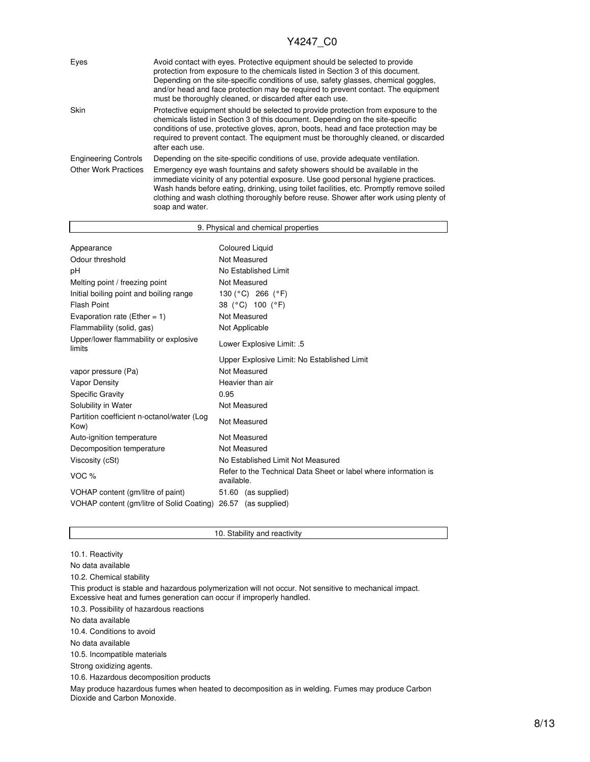| Eyes                        | Avoid contact with eyes. Protective equipment should be selected to provide<br>protection from exposure to the chemicals listed in Section 3 of this document.<br>Depending on the site-specific conditions of use, safety glasses, chemical goggles,<br>and/or head and face protection may be required to prevent contact. The equipment<br>must be thoroughly cleaned, or discarded after each use. |
|-----------------------------|--------------------------------------------------------------------------------------------------------------------------------------------------------------------------------------------------------------------------------------------------------------------------------------------------------------------------------------------------------------------------------------------------------|
| Skin                        | Protective equipment should be selected to provide protection from exposure to the<br>chemicals listed in Section 3 of this document. Depending on the site-specific<br>conditions of use, protective gloves, apron, boots, head and face protection may be<br>required to prevent contact. The equipment must be thoroughly cleaned, or discarded<br>after each use.                                  |
| <b>Engineering Controls</b> | Depending on the site-specific conditions of use, provide adequate ventilation.                                                                                                                                                                                                                                                                                                                        |
| <b>Other Work Practices</b> | Emergency eye wash fountains and safety showers should be available in the<br>immediate vicinity of any potential exposure. Use good personal hygiene practices.<br>Wash hands before eating, drinking, using toilet facilities, etc. Promptly remove soiled<br>clothing and wash clothing thoroughly before reuse. Shower after work using plenty of<br>soap and water.                               |

| 9. Physical and chemical properties                |                                                                               |  |  |
|----------------------------------------------------|-------------------------------------------------------------------------------|--|--|
|                                                    |                                                                               |  |  |
| <b>Coloured Liquid</b><br>Appearance               |                                                                               |  |  |
| Odour threshold                                    | Not Measured                                                                  |  |  |
| рH                                                 | No Established Limit                                                          |  |  |
| Melting point / freezing point                     | Not Measured                                                                  |  |  |
| Initial boiling point and boiling range            | 130 ( $^{\circ}$ C) 266 ( $^{\circ}$ F)                                       |  |  |
| <b>Flash Point</b>                                 | 38 (°C) 100 (°F)                                                              |  |  |
| Evaporation rate (Ether = 1)                       | Not Measured                                                                  |  |  |
| Flammability (solid, gas)                          | Not Applicable                                                                |  |  |
| Upper/lower flammability or explosive<br>limits    | Lower Explosive Limit: .5                                                     |  |  |
|                                                    | Upper Explosive Limit: No Established Limit                                   |  |  |
| vapor pressure (Pa)                                | Not Measured                                                                  |  |  |
| <b>Vapor Density</b>                               | Heavier than air                                                              |  |  |
| <b>Specific Gravity</b>                            | 0.95                                                                          |  |  |
| Solubility in Water                                | Not Measured                                                                  |  |  |
| Partition coefficient n-octanol/water (Log<br>Kow) | Not Measured                                                                  |  |  |
| Auto-ignition temperature                          | Not Measured                                                                  |  |  |
| Decomposition temperature                          | Not Measured                                                                  |  |  |
| Viscosity (cSt)                                    | No Established Limit Not Measured                                             |  |  |
| VOC <sub>%</sub>                                   | Refer to the Technical Data Sheet or label where information is<br>available. |  |  |
| VOHAP content (gm/litre of paint)                  | 51.60 (as supplied)                                                           |  |  |
| VOHAP content (gm/litre of Solid Coating) 26.57    | (as supplied)                                                                 |  |  |

<sup>10.1.</sup> Reactivity

10. Stability and reactivity

10.3. Possibility of hazardous reactions

10.4. Conditions to avoid

No data available

10.5. Incompatible materials

Strong oxidizing agents.

10.6. Hazardous decomposition products

May produce hazardous fumes when heated to decomposition as in welding. Fumes may produce Carbon Dioxide and Carbon Monoxide.

No data available

<sup>10.2.</sup> Chemical stability

This product is stable and hazardous polymerization will not occur. Not sensitive to mechanical impact. Excessive heat and fumes generation can occur if improperly handled.

No data available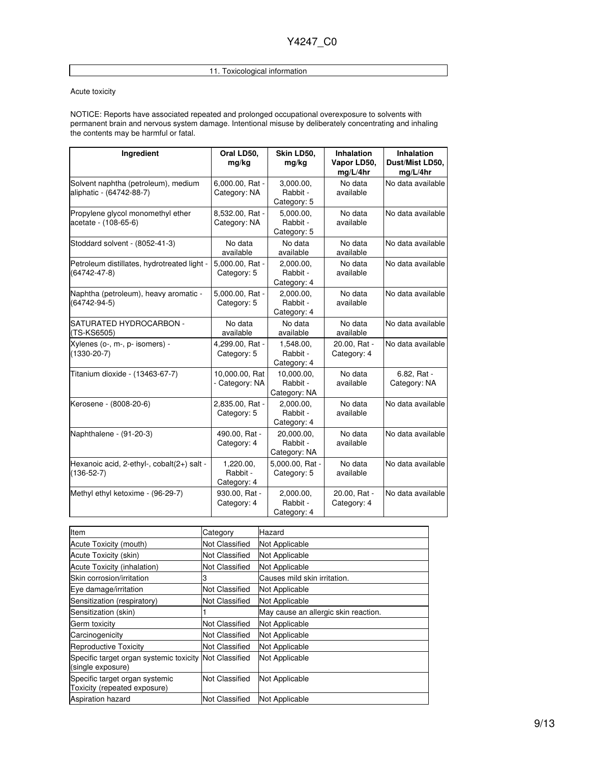## 11. Toxicological information

#### Acute toxicity

NOTICE: Reports have associated repeated and prolonged occupational overexposure to solvents with permanent brain and nervous system damage. Intentional misuse by deliberately concentrating and inhaling the contents may be harmful or fatal.

| Ingredient                                                      | Oral LD50,<br>mg/kg                  | Skin LD50,<br>mg/kg                    | <b>Inhalation</b><br>Vapor LD50,<br>mg/L/4hr | <b>Inhalation</b><br>Dust/Mist LD50,<br>mg/L/4hr |
|-----------------------------------------------------------------|--------------------------------------|----------------------------------------|----------------------------------------------|--------------------------------------------------|
| Solvent naphtha (petroleum), medium<br>aliphatic - (64742-88-7) | 6,000.00, Rat -<br>Category: NA      | 3,000.00,<br>Rabbit -<br>Category: 5   | No data<br>available                         | No data available                                |
| Propylene glycol monomethyl ether<br>acetate - (108-65-6)       | 8,532.00, Rat -<br>Category: NA      | 5,000.00,<br>Rabbit -<br>Category: 5   | No data<br>available                         | No data available                                |
| Stoddard solvent - (8052-41-3)                                  | No data<br>available                 | No data<br>available                   | No data<br>available                         | No data available                                |
| Petroleum distillates, hydrotreated light -<br>(64742-47-8)     | 5,000.00, Rat -<br>Category: 5       | 2,000.00,<br>Rabbit -<br>Category: 4   | No data<br>available                         | No data available                                |
| Naphtha (petroleum), heavy aromatic -<br>$(64742 - 94 - 5)$     | 5,000.00, Rat -<br>Category: 5       | 2,000.00,<br>Rabbit -<br>Category: 4   | No data<br>available                         | No data available                                |
| SATURATED HYDROCARBON -<br>(TS-KS6505)                          | No data<br>available                 | No data<br>available                   | No data<br>available                         | No data available                                |
| Xylenes (o-, m-, p- isomers) -<br>$(1330 - 20 - 7)$             | 4,299.00, Rat -<br>Category: 5       | 1,548.00,<br>Rabbit -<br>Category: 4   | 20.00, Rat -<br>Category: 4                  | No data available                                |
| Titanium dioxide - (13463-67-7)                                 | 10,000.00, Rat<br>- Category: NA     | 10,000.00,<br>Rabbit -<br>Category: NA | No data<br>available                         | 6.82, Rat -<br>Category: NA                      |
| Kerosene - (8008-20-6)                                          | 2,835.00, Rat -<br>Category: 5       | 2,000.00,<br>Rabbit -<br>Category: 4   | No data<br>available                         | No data available                                |
| Naphthalene - (91-20-3)                                         | 490.00, Rat -<br>Category: 4         | 20,000.00,<br>Rabbit -<br>Category: NA | No data<br>available                         | No data available                                |
| Hexanoic acid, 2-ethyl-, cobalt(2+) salt -<br>$(136-52-7)$      | 1,220.00,<br>Rabbit -<br>Category: 4 | 5,000.00, Rat -<br>Category: 5         | No data<br>available                         | No data available                                |
| Methyl ethyl ketoxime - (96-29-7)                               | 930.00, Rat -<br>Category: 4         | 2,000.00,<br>Rabbit -<br>Category: 4   | 20.00, Rat -<br>Category: 4                  | No data available                                |

| Item                                                                        | Category              | Hazard                               |
|-----------------------------------------------------------------------------|-----------------------|--------------------------------------|
| Acute Toxicity (mouth)                                                      | Not Classified        | Not Applicable                       |
| Acute Toxicity (skin)                                                       | Not Classified        | Not Applicable                       |
| Acute Toxicity (inhalation)                                                 | Not Classified        | Not Applicable                       |
| Skin corrosion/irritation                                                   | З                     | Causes mild skin irritation.         |
| Eye damage/irritation                                                       | Not Classified        | Not Applicable                       |
| Sensitization (respiratory)                                                 | <b>Not Classified</b> | Not Applicable                       |
| Sensitization (skin)                                                        |                       | May cause an allergic skin reaction. |
| Germ toxicity                                                               | <b>Not Classified</b> | Not Applicable                       |
| Carcinogenicity                                                             | Not Classified        | Not Applicable                       |
| Reproductive Toxicity                                                       | Not Classified        | Not Applicable                       |
| Specific target organ systemic toxicity Not Classified<br>(single exposure) |                       | Not Applicable                       |
| Specific target organ systemic<br>Toxicity (repeated exposure)              | <b>Not Classified</b> | Not Applicable                       |
| <b>Aspiration hazard</b>                                                    | <b>Not Classified</b> | Not Applicable                       |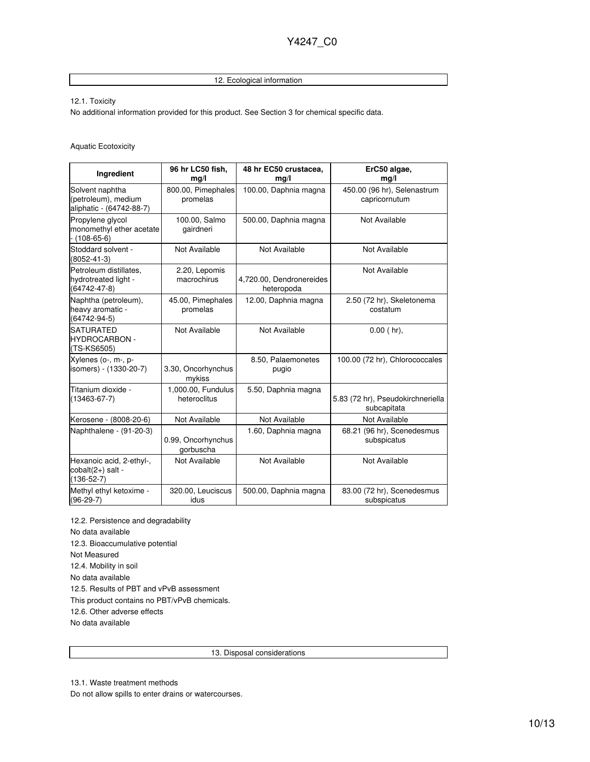### 12. Ecological information

12.1. Toxicity

No additional information provided for this product. See Section 3 for chemical specific data.

#### Aquatic Ecotoxicity

| Ingredient                                                         | 96 hr LC50 fish,<br>mg/l           | 48 hr EC50 crustacea.<br>mg/l          | ErC50 algae,<br>mg/l                             |
|--------------------------------------------------------------------|------------------------------------|----------------------------------------|--------------------------------------------------|
| Solvent naphtha<br>(petroleum), medium<br>aliphatic - (64742-88-7) | 800.00, Pimephales<br>promelas     | 100.00, Daphnia magna                  | 450.00 (96 hr), Selenastrum<br>capricornutum     |
| Propylene glycol<br>monomethyl ether acetate<br>$(108-65-6)$       | 100.00, Salmo<br>qairdneri         | 500.00, Daphnia magna                  | Not Available                                    |
| Stoddard solvent -<br>(8052-41-3)                                  | Not Available                      | Not Available                          | Not Available                                    |
| Petroleum distillates.<br>hydrotreated light -<br>(64742-47-8)     | 2.20, Lepomis<br>macrochirus       | 4,720.00, Dendronereides<br>heteropoda | Not Available                                    |
| Naphtha (petroleum),<br>heavy aromatic -<br>$(64742 - 94 - 5)$     | 45.00, Pimephales<br>promelas      | 12.00, Daphnia magna                   | 2.50 (72 hr), Skeletonema<br>costatum            |
| <b>SATURATED</b><br><b>HYDROCARBON -</b><br>(TS-KS6505)            | Not Available                      | Not Available                          | $0.00$ (hr),                                     |
| Xylenes (o-, m-, p-<br>isomers) - (1330-20-7)                      | 3.30, Oncorhynchus<br>mykiss       | 8.50, Palaemonetes<br>pugio            | 100.00 (72 hr), Chlorococcales                   |
| Titanium dioxide -<br>$(13463 - 67 - 7)$                           | 1,000.00, Fundulus<br>heteroclitus | 5.50, Daphnia magna                    | 5.83 (72 hr), Pseudokirchneriella<br>subcapitata |
| Kerosene - (8008-20-6)                                             | Not Available                      | Not Available                          | Not Available                                    |
| Naphthalene - (91-20-3)                                            | 0.99, Oncorhynchus<br>gorbuscha    | 1.60, Daphnia magna                    | 68.21 (96 hr), Scenedesmus<br>subspicatus        |
| Hexanoic acid, 2-ethyl-,<br>cobalt(2+) salt -<br>$(136 - 52 - 7)$  | Not Available                      | Not Available                          | Not Available                                    |
| Methyl ethyl ketoxime -<br>$(96-29-7)$                             | 320.00, Leuciscus<br>idus          | 500.00, Daphnia magna                  | 83.00 (72 hr), Scenedesmus<br>subspicatus        |

12.2. Persistence and degradability No data available 12.3. Bioaccumulative potential Not Measured 12.4. Mobility in soil No data available 12.5. Results of PBT and vPvB assessment This product contains no PBT/vPvB chemicals. 12.6. Other adverse effects No data available

13. Disposal considerations

13.1. Waste treatment methods

Do not allow spills to enter drains or watercourses.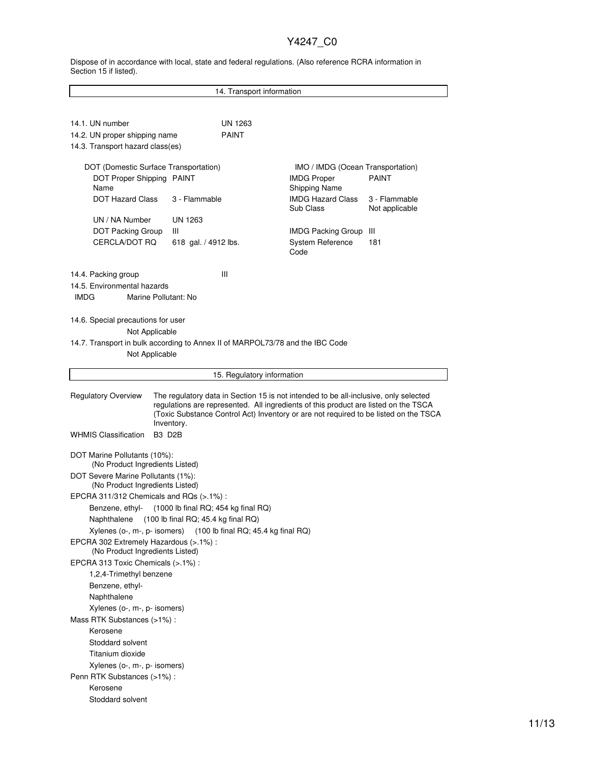Dispose of in accordance with local, state and federal regulations. (Also reference RCRA information in Section 15 if listed).

| 14. Transport information                                                                                                                                                                                                                                                                                       |                                                                                                       |                                                                                                             |                               |  |  |
|-----------------------------------------------------------------------------------------------------------------------------------------------------------------------------------------------------------------------------------------------------------------------------------------------------------------|-------------------------------------------------------------------------------------------------------|-------------------------------------------------------------------------------------------------------------|-------------------------------|--|--|
|                                                                                                                                                                                                                                                                                                                 |                                                                                                       |                                                                                                             |                               |  |  |
| 14.1. UN number<br>14.2. UN proper shipping name<br>14.3. Transport hazard class(es)                                                                                                                                                                                                                            | UN 1263<br><b>PAINT</b>                                                                               |                                                                                                             |                               |  |  |
| DOT (Domestic Surface Transportation)<br>DOT Proper Shipping PAINT<br>Name<br><b>DOT Hazard Class</b>                                                                                                                                                                                                           | 3 - Flammable                                                                                         | IMO / IMDG (Ocean Transportation)<br><b>IMDG Proper</b><br><b>Shipping Name</b><br><b>IMDG Hazard Class</b> | <b>PAINT</b><br>3 - Flammable |  |  |
| UN / NA Number<br>DOT Packing Group<br>CERCLA/DOT RQ                                                                                                                                                                                                                                                            | UN 1263<br>Ш<br>618 gal. / 4912 lbs.                                                                  | Sub Class<br><b>IMDG Packing Group</b><br>System Reference<br>Code                                          | Not applicable<br>Ш<br>181    |  |  |
| 14.4. Packing group<br>14.5. Environmental hazards<br><b>IMDG</b><br>Marine Pollutant: No                                                                                                                                                                                                                       | Ш                                                                                                     |                                                                                                             |                               |  |  |
| 14.6. Special precautions for user<br>Not Applicable<br>14.7. Transport in bulk according to Annex II of MARPOL73/78 and the IBC Code<br>Not Applicable                                                                                                                                                         |                                                                                                       |                                                                                                             |                               |  |  |
|                                                                                                                                                                                                                                                                                                                 | 15. Regulatory information                                                                            |                                                                                                             |                               |  |  |
| <b>Regulatory Overview</b><br>The regulatory data in Section 15 is not intended to be all-inclusive, only selected<br>regulations are represented. All ingredients of this product are listed on the TSCA<br>(Toxic Substance Control Act) Inventory or are not required to be listed on the TSCA<br>Inventory. |                                                                                                       |                                                                                                             |                               |  |  |
| <b>WHMIS Classification</b>                                                                                                                                                                                                                                                                                     | B <sub>3</sub> D <sub>2</sub> B                                                                       |                                                                                                             |                               |  |  |
|                                                                                                                                                                                                                                                                                                                 | DOT Marine Pollutants (10%):<br>(No Product Ingredients Listed)<br>DOT Severe Marine Pollutants (1%): |                                                                                                             |                               |  |  |
| (No Product Ingredients Listed)<br>EPCRA 311/312 Chemicals and RQs $(>.1\%)$ :<br>(1000 lb final RQ; 454 kg final RQ)<br>Benzene, ethyl-                                                                                                                                                                        |                                                                                                       |                                                                                                             |                               |  |  |
| (100 lb final RQ; 45.4 kg final RQ)<br>Naphthalene<br>(100 lb final RQ; 45.4 kg final RQ)<br>Xylenes (o-, m-, p- isomers)<br>EPCRA 302 Extremely Hazardous (>.1%) :<br>(No Product Ingredients Listed)<br>EPCRA 313 Toxic Chemicals (>.1%) :                                                                    |                                                                                                       |                                                                                                             |                               |  |  |
| 1,2,4-Trimethyl benzene<br>Benzene, ethyl-<br>Naphthalene                                                                                                                                                                                                                                                       |                                                                                                       |                                                                                                             |                               |  |  |
| Xylenes (o-, m-, p- isomers)<br>Mass RTK Substances (>1%):<br>Kerosene<br>Stoddard solvent<br>Titanium dioxide                                                                                                                                                                                                  |                                                                                                       |                                                                                                             |                               |  |  |
| Xylenes (o-, m-, p- isomers)<br>Penn RTK Substances (>1%) :<br>Kerosene<br>Stoddard solvent                                                                                                                                                                                                                     |                                                                                                       |                                                                                                             |                               |  |  |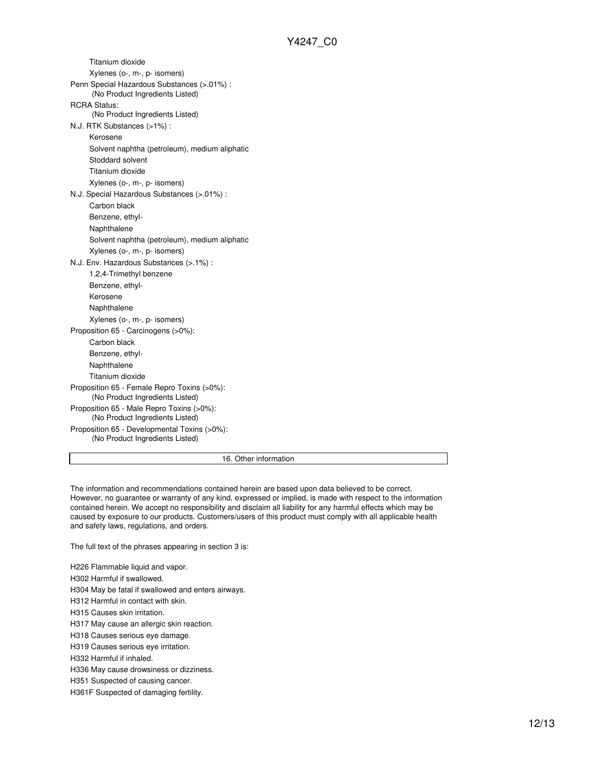Titanium dioxide Xylenes (o-, m-, p- isomers) Penn Special Hazardous Substances (>.01%) : (No Product Ingredients Listed) RCRA Status: (No Product Ingredients Listed) N.J. RTK Substances (>1%) : Kerosene Solvent naphtha (petroleum), medium aliphatic Stoddard solvent Titanium dioxide Xylenes (o-, m-, p- isomers) N.J. Special Hazardous Substances (>.01%) : Carbon black Benzene, ethyl-Naphthalene Solvent naphtha (petroleum), medium aliphatic Xylenes (o-, m-, p- isomers) N.J. Env. Hazardous Substances (>.1%) : 1,2,4-Trimethyl benzene Benzene, ethyl-Kerosene Naphthalene Xylenes (o-, m-, p- isomers) Proposition 65 - Carcinogens (>0%): Carbon black Benzene, ethyl-Naphthalene Titanium dioxide Proposition 65 - Female Repro Toxins (>0%): (No Product Ingredients Listed) Proposition 65 - Male Repro Toxins (>0%): (No Product Ingredients Listed) Proposition 65 - Developmental Toxins (>0%): (No Product Ingredients Listed)

16. Other information

The information and recommendations contained herein are based upon data believed to be correct. However, no guarantee or warranty of any kind, expressed or implied, is made with respect to the information contained herein. We accept no responsibility and disclaim all liability for any harmful effects which may be caused by exposure to our products. Customers/users of this product must comply with all applicable health and safety laws, regulations, and orders.

The full text of the phrases appearing in section 3 is:

H226 Flammable liquid and vapor. H302 Harmful if swallowed. H304 May be fatal if swallowed and enters airways.

H312 Harmful in contact with skin.

H315 Causes skin irritation.

H317 May cause an allergic skin reaction.

H318 Causes serious eye damage.

H319 Causes serious eye irritation.

H332 Harmful if inhaled.

H336 May cause drowsiness or dizziness.

H351 Suspected of causing cancer.

H361F Suspected of damaging fertility.